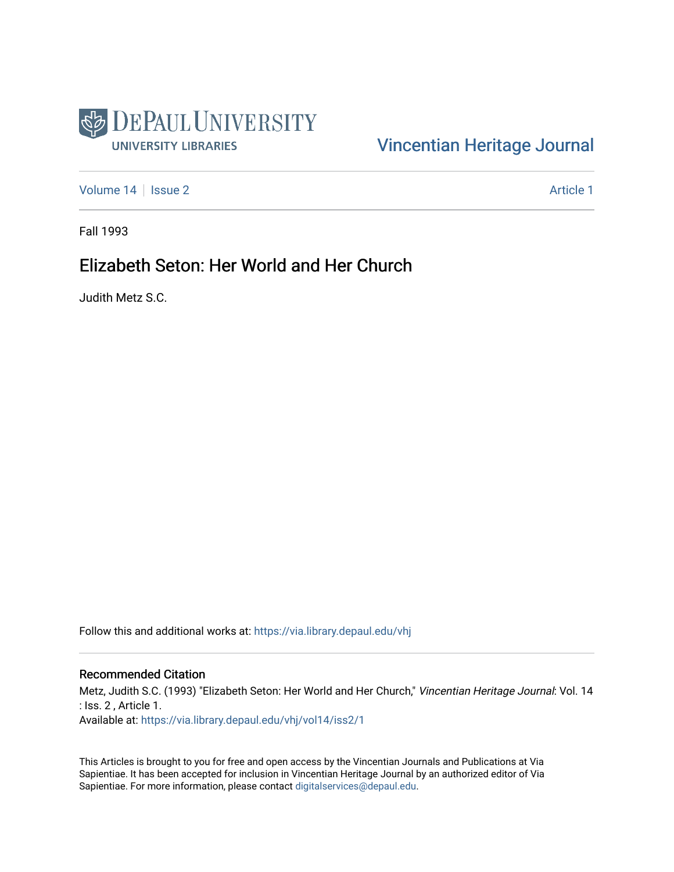

# [Vincentian Heritage Journal](https://via.library.depaul.edu/vhj)

[Volume 14](https://via.library.depaul.edu/vhj/vol14) | [Issue 2](https://via.library.depaul.edu/vhj/vol14/iss2) Article 1

Fall 1993

# Elizabeth Seton: Her World and Her Church

Judith Metz S.C.

Follow this and additional works at: [https://via.library.depaul.edu/vhj](https://via.library.depaul.edu/vhj?utm_source=via.library.depaul.edu%2Fvhj%2Fvol14%2Fiss2%2F1&utm_medium=PDF&utm_campaign=PDFCoverPages) 

## Recommended Citation

Metz, Judith S.C. (1993) "Elizabeth Seton: Her World and Her Church," Vincentian Heritage Journal: Vol. 14 : Iss. 2 , Article 1. Available at: [https://via.library.depaul.edu/vhj/vol14/iss2/1](https://via.library.depaul.edu/vhj/vol14/iss2/1?utm_source=via.library.depaul.edu%2Fvhj%2Fvol14%2Fiss2%2F1&utm_medium=PDF&utm_campaign=PDFCoverPages) 

This Articles is brought to you for free and open access by the Vincentian Journals and Publications at Via Sapientiae. It has been accepted for inclusion in Vincentian Heritage Journal by an authorized editor of Via Sapientiae. For more information, please contact [digitalservices@depaul.edu](mailto:digitalservices@depaul.edu).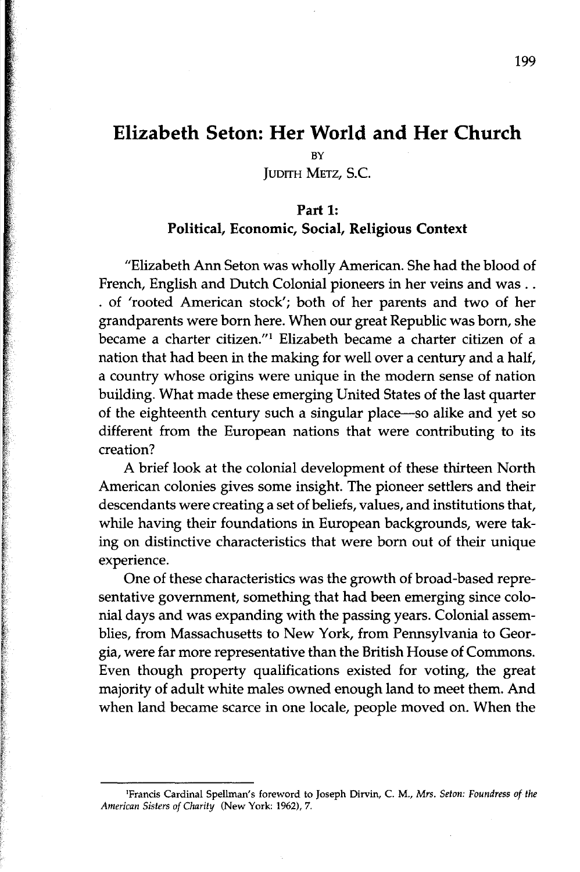# **Elizabeth Seton: Her World and Her Church**

BY

JUDITH METZ, S.C.

## Part 1: Political, Economic, Social, Religious Context

"Elizabeth Ann Seton was wholly American. She had the blood of French, English and Dutch Colonial pioneers in her veins and was .. . of 'rooted American stock'; both of her parents and two of her grandparents were born here. When our great Republic was born, she became a charter citizen."! Elizabeth became a charter citizen of a nation that had been in the making for well over a century and a half, a country whose origins were unique in the modern sense of nation building. What made these emerging United States of the last quarter of the eighteenth century such a singular place-so alike and yet so different from the European nations that were contributing to its creation?

A brief look at the colonial development of these thirteen North American colonies gives some insight. The pioneer settlers and their descendants were creating a set of beliefs, values, and institutions that, while having their foundations in European backgrounds, were taking on distinctive characteristics that were born out of their unique experience.

One of these characteristics was the growth of broad-based representative government, something that had been emerging since colonial days and was expanding with the passing years. Colonial assemblies, from Massachusetts to New York, from Pennsylvania to Georgia, were far more representative than the British House of Commons. Even though property qualifications existed for voting, the great majority of adult white males owned enough land to meet them. And when land became scarce in one locale, people moved on. When the

IFrancis Cardinal Spellman's foreword to Joseph Dirvin, C. M., *Mrs. Seton: Foundress of the American Sisters of Charity* (New York: 1962),7.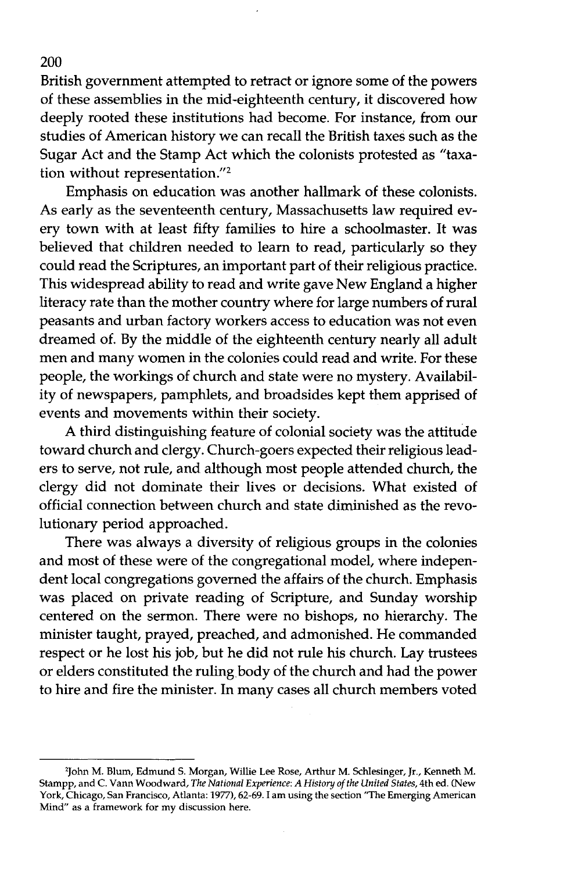British government attempted to retract or ignore some of the powers of these assemblies in the mid-eighteenth century, it discovered how deeply rooted these institutions had become. For instance, from our studies of American history we can recall the British taxes such as the Sugar Act and the Stamp Act which the colonists protested as "taxation without representation."2

Emphasis on education was another hallmark of these colonists. As early as the seventeenth century, Massachusetts law required every town with at least fifty families to hire a schoolmaster. It was believed that children needed to learn to read, particularly so they could read the Scriptures, an important part of their religious practice. This widespread ability to read and write gave New England a higher literacy rate than the mother country where for large numbers of rural peasants and urban factory workers access to education was not even dreamed of. By the middle of the eighteenth century nearly all adult men and many women in the colonies could read and write. For these people, the workings of church and state were no mystery. Availability of newspapers, pamphlets, and broadsides kept them apprised of events and movements within their society.

A third distinguishing feature of colonial society was the attitude toward church and clergy. Church-goers expected their religious leaders to serve, not rule, and although most people attended church, the clergy did not dominate their lives or decisions. What existed of official connection between church and state diminished as the revolutionary period approached.

There was always a diversity of religious groups in the colonies and most of these were of the congregational model, where independent local congregations governed the affairs of the church. Emphasis was placed on private reading of Scripture, and Sunday worship centered on the sermon. There were no bishops, no hierarchy. The minister taught, prayed, preached, and admonished. He commanded respect or he lost his job, but he did not rule his church. Lay trustees or elders constituted the ruling body of the church and had the power to hire and fire the minister. In many cases all church members voted

<sup>&#</sup>x27;John M. Blum, Edmund S. Morgan, Willie Lee Rose, Arthur M. Schlesinger, Jr., Kenneth M. Stampp, and C. Vann Woodward, *The National Experience: A History ofthe United States,* 4th ed. (New York, Chicago, San Francisco, Atlanta: 1977), 62-69. I am using the section "The Emerging American Mind" as a framework for my discussion here.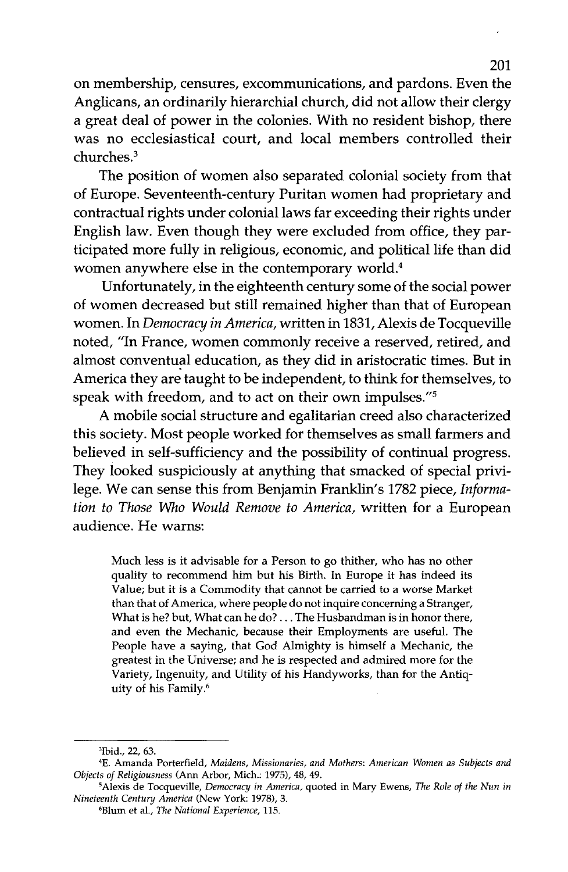on membership, censures, excommunications, and pardons. Even the Anglicans, an ordinarily hierarchial church, did not allow their clergy a great deal of power in the colonies. With no resident bishop, there was no ecclesiastical court, and local members controlled their churches.3

The position of women also separated colonial society from that of Europe. Seventeenth-century Puritan women had proprietary and contractual rights under colonial laws far exceeding their rights under English law. Even though they were excluded from office, they participated more fully in religious, economic, and political life than did women anywhere else in the contemporary world.4

Unfortunately, in the eighteenth century some of the social power of women decreased but still remained higher than that of European women. In *Democracy in America,* written in 1831, Alexis de Tocqueville noted, "In France, women commonly receive a reserved, retired, and almost conventual education, as they did in aristocratic times. But in America they are taught to be independent, to think for themselves, to speak with freedom, and to act on their own impulses."<sup>5</sup>

A mobile social structure and egalitarian creed also characterized this society. Most people worked for themselves as small farmers and believed in self-sufficiency and the possibility of continual progress. They looked suspiciously at anything that smacked of special privilege. We can sense this from Benjamin Franklin's 1782 piece, *Information to Those Who Would Remove to America,* written for a European audience. He warns:

Much less is it advisable for a Person to go thither, who has no other quality to recommend him but his Birth. In Europe it has indeed its Value; but it is a Commodity that cannot be carried to a worse Market than that of America, where people do not inquire concerning a Stranger, What is he? but, What can he do? ... The Husbandman is in honor there, and even the Mechanic, because their Employments are useful. The People have a saying, that God Almighty is himself a Mechanic, the greatest in the Universe; and he is respected and admired more for the Variety, Ingenuity, and Utility of his Handyworks, than for the Antiquity of his Family.6

<sup>&#</sup>x27;Ibid., 22, 63.

<sup>&#</sup>x27;E. Amanda Porterfield, *Maidens, Missionaries, and Mothers: American Women as Subjects and Objects of Religiousness* (Ann Arbor, Mich.: 1975),48,49.

<sup>&#</sup>x27;Alexis de TocqueviIIe, *Democracy in America,* quoted in Mary Ewens, *The Role of the Nun in Nineteenth Century America* (New York: 1978),3.

<sup>&#</sup>x27;Blum et aL, *The National Experience, 115.*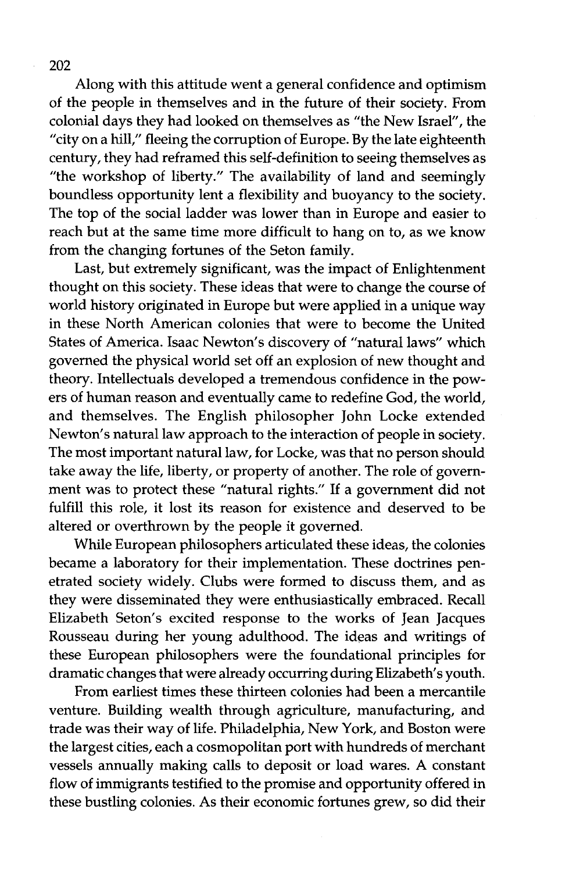Along with this attitude went a general confidence and optimism of the people in themselves and in the future of their society. From colonial days they had looked on themselves as "the New Israel", the "city on a hill," fleeing the corruption of Europe. By the late eighteenth century, they had reframed this self-definition to seeing themselves as "the workshop of liberty." The availability of land and seemingly boundless opportunity lent a flexibility and buoyancy to the society. The top of the social ladder was lower than in Europe and easier to reach but at the same time more difficult to hang on to, as we know from the changing fortunes of the Seton family.

Last, but extremely significant, was the impact of Enlightenment thought on this society. These ideas that were to change the course of world history originated in Europe but were applied in a unique way in these North American colonies that were to become the United States of America. Isaac Newton's discovery of "natural laws" which governed the physical world set off an explosion of new thought and theory. Intellectuals developed a tremendous confidence in the powers of human reason and eventually carne to redefine God, the world, and themselves. The English philosopher John Locke extended Newton's natural law approach to the interaction of people in society. The most important natural law, for Locke, was that no person should take away the life, liberty, or property of another. The role of government was to protect these "natural rights." If a government did not fulfill this role, it lost its reason for existence and deserved to be altered or overthrown by the people it governed.

While European philosophers articulated these ideas, the colonies became a laboratory for their implementation. These doctrines penetrated society widely. Clubs were formed to discuss them, and as they were disseminated they were enthusiastically embraced. Recall Elizabeth Seton's excited response to the works of Jean Jacques Rousseau during her young adulthood. The ideas and writings of these European philosophers were the foundational principles for dramatic changes that were already occurring during Elizabeth's youth.

From earliest times these thirteen colonies had been a mercantile venture. Building wealth through agriculture, manufacturing, and trade was their way of life. Philadelphia, New York, and Boston were the largest cities, each a cosmopolitan port with hundreds of merchant vessels annually making calls to deposit or load wares. A constant flow of immigrants testified to the promise and opportunity offered in these bustling colonies. As their economic fortunes grew, so did their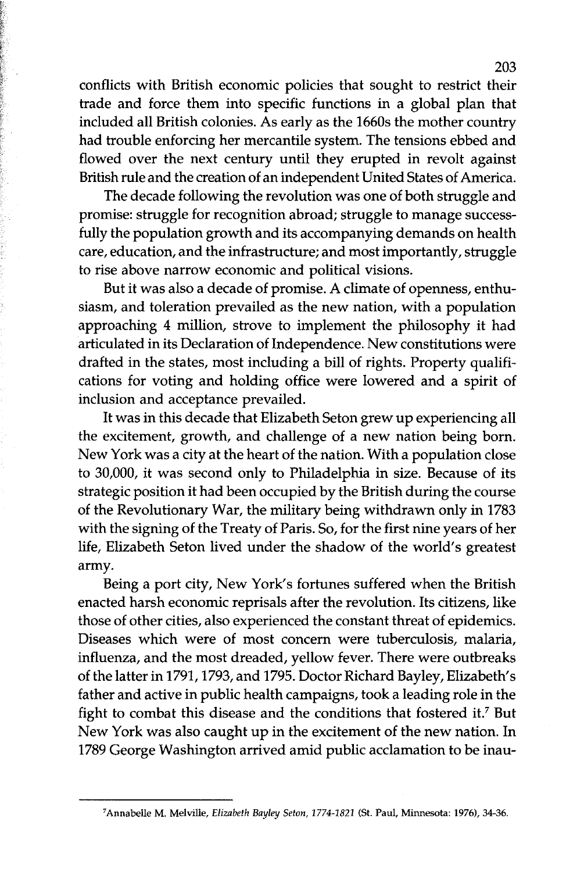conflicts with British economic policies that sought to restrict their trade and force them into specific functions in a global plan that included all British colonies. As early as the 1660s the mother country had trouble enforcing her mercantile system. The tensions ebbed and flowed over the next century until they erupted in revolt against British rule and the creation of an independent United States of America.

The decade following the revolution was one of both struggle and promise: struggle for recognition abroad; struggle to manage successfully the population growth and its accompanying demands on health care, education, and the infrastructure; and most importantly, struggle to rise above narrow economic and political visions.

But it was also a decade of promise. A climate of openness, enthusiasm, and toleration prevailed as the new nation, with a population approaching 4 million, strove to implement the philosophy it had articulated in its Declaration of Independence. New constitutions were drafted in the states, most including a bill of rights. Property qualifications for voting and holding office were lowered and a spirit of inclusion and acceptance prevailed.

It was in this decade that Elizabeth Seton grew up experiencing all the excitement, growth, and challenge of a new nation being born. New York was a city at the heart of the nation. With a population close to 30,000, it was second only to Philadelphia in size. Because of its strategic position it had been occupied by the British during the course of the Revolutionary War, the military being withdrawn only in 1783 with the signing of the Treaty of Paris. So, for the first nine years of her life, Elizabeth Seton lived under the shadow of the world's greatest army.

Being a port city, New York's fortunes suffered when the British enacted harsh economic reprisals after the revolution. Its citizens, like those of other cities, also experienced the constant threat of epidemics. Diseases which were of most concern were tuberculosis, malaria, influenza, and the most dreaded, yellow fever. There were outbreaks ofthe latter in 1791, 1793, and 1795. Doctor Richard Bayley, Elizabeth's father and active in public health campaigns, took a leading role in the fight to combat this disease and the conditions that fostered it.? But New York was also caught up in the excitement of the new nation. In 1789 George Washington arrived amid public acclamation to be inau-

<sup>&</sup>lt;sup>7</sup>Annabelle M. Melville, *Elizabeth Bayley Seton, 1774-1821* (St. Paul, Minnesota: 1976), 34-36.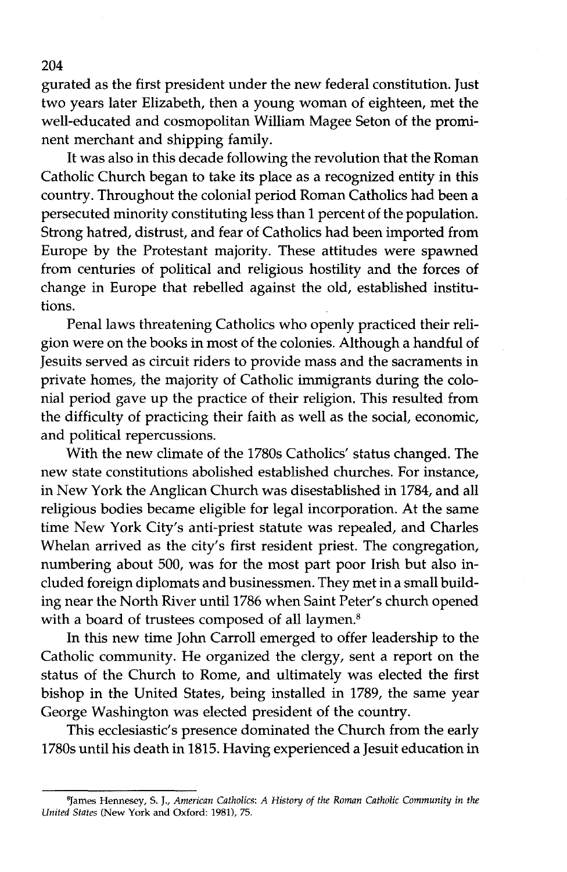gurated as the first president under the new federal constitution. Just two years later Elizabeth, then a young woman of eighteen, met the well-educated and cosmopolitan William Magee Seton of the prominent merchant and shipping family.

It was also in this decade following the revolution that the Roman Catholic Church began to take its place as a recognized entity in this country. Throughout the colonial period Roman Catholics had been a persecuted minority constituting less than 1 percent of the population. Strong hatred, distrust, and fear of Catholics had been imported from Europe by the Protestant majority. These attitudes were spawned from centuries of political and religious hostility and the forces of change in Europe that rebelled against the old, established institutions.

Penal laws threatening Catholics who openly practiced their religion were on the books in most of the colonies. Although a handful of Jesuits served as circuit riders to provide mass and the sacraments in private homes, the majority of Catholic immigrants during the colonial period gave up the practice of their religion. This resulted from the difficulty of practicing their faith as well as the social, economic, and political repercussions.

With the new climate of the 1780s Catholics' status changed. The new state constitutions abolished established churches. For instance, in New York the Anglican Church was disestablished in 1784, and all religious bodies became eligible for legal incorporation. At the same time New York City's anti-priest statute was repealed, and Charles Whelan arrived as the city's first resident priest. The congregation, numbering about 500, was for the most part poor Irish but also included foreign diplomats and businessmen. They met in a small building near the North River until 1786 when Saint Peter's church opened with a board of trustees composed of all laymen.<sup>8</sup>

In this new time John Carroll emerged to offer leadership to the Catholic community. He organized the clergy, sent a report on the status of the Church to Rome, and ultimately was elected the first bishop in the United States, being installed in 1789, the same year George Washington was elected president of the country.

This ecclesiastic's presence dominated the Church from the early 1780s until his death in 1815. Having experienced a Jesuit education in

BJames Hennesey, s. J., *American Catholics; A History of the Roman Catholic Community in the United States* (New York and Oxford; 1981), 75.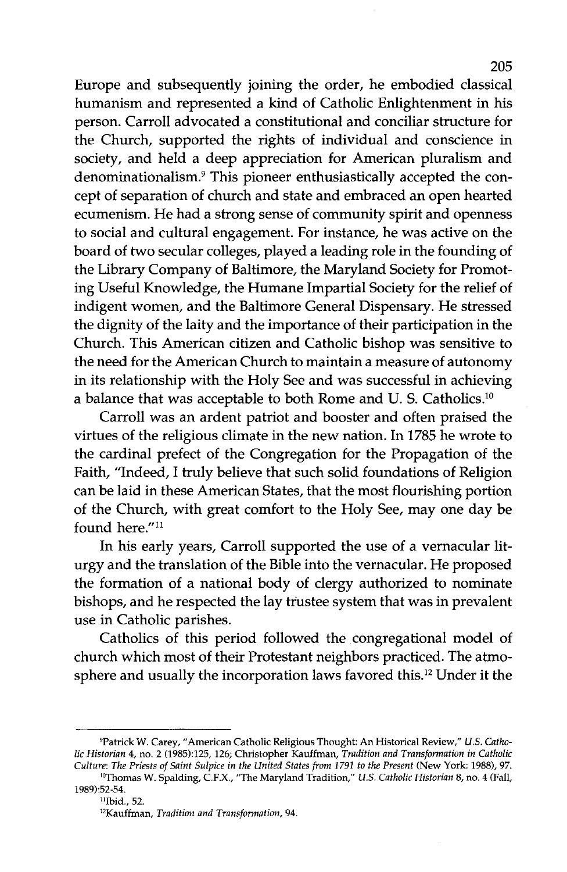Europe and subsequently joining the order, he embodied classical humanism and represented a kind of Catholic Enlightenment in his person. Carroll advocated a constitutional and conciliar structure for the Church, supported the rights of individual and conscience in society, and held a deep appreciation for American pluralism and denominationalism.9 This pioneer enthusiastically accepted the concept of separation of church and state and embraced an open hearted ecumenism. He had a strong sense of community spirit and openness to social and cultural engagement. For instance, he was active on the board of two secular colleges, played a leading role in the founding of the Library Company of Baltimore, the Maryland Society for Promoting Useful Knowledge, the Humane Impartial Society for the relief of indigent women, and the Baltimore General Dispensary. He stressed the dignity of the laity and the importance of their participation in the Church. This American citizen and Catholic bishop was sensitive to the need for the American Church to maintain a measure of autonomy in its relationship with the Holy See and was successful in achieving a balance that was acceptable to both Rome and U. S. Catholics.<sup>10</sup>

Carroll was an ardent patriot and booster and often praised the virtues of the religious climate in the new nation. In 1785 he wrote to the cardinal prefect of the Congregation for the Propagation of the Faith, "Indeed, I truly believe that such solid foundations of Religion can be laid in these American States, that the most flourishing portion of the Church, with great comfort to the Holy See, may one day be found here."<sup>11</sup>

In his early years, Carroll supported the use of a vernacular liturgy and the translation of the Bible into the vernacular. He proposed the formation of a national body of clergy authorized to nominate bishops, and he respected the lay trustee system that was in prevalent use in Catholic parishes.

Catholics of this period followed the congregational model of church which most of their Protestant neighbors practiced. The atmosphere and usually the incorporation laws favored this.12 Under it the

<sup>&#</sup>x27;Patrick W. Carey, "American Catholic Religious Thought: An Historical Review," *U.S. Catholic Historian* 4, no. 2 (1985):125, 126; Christopher Kauffman, *Tradition and Transformation in Catholic Culture: The Priests of Saint Sulpice in the United States from* 1791 *to the Present* (New York: 1988),97.

l"Thomas W. Spalding, c.F.X., "The Maryland Tradition," *U.S. Catholic Historian* 8, no. 4 (Fall, 1989):52-54.

<sup>&</sup>lt;sup>11</sup>Ibid., 52.

<sup>12</sup>Kauffman, *Tradition and Transformation, 94.*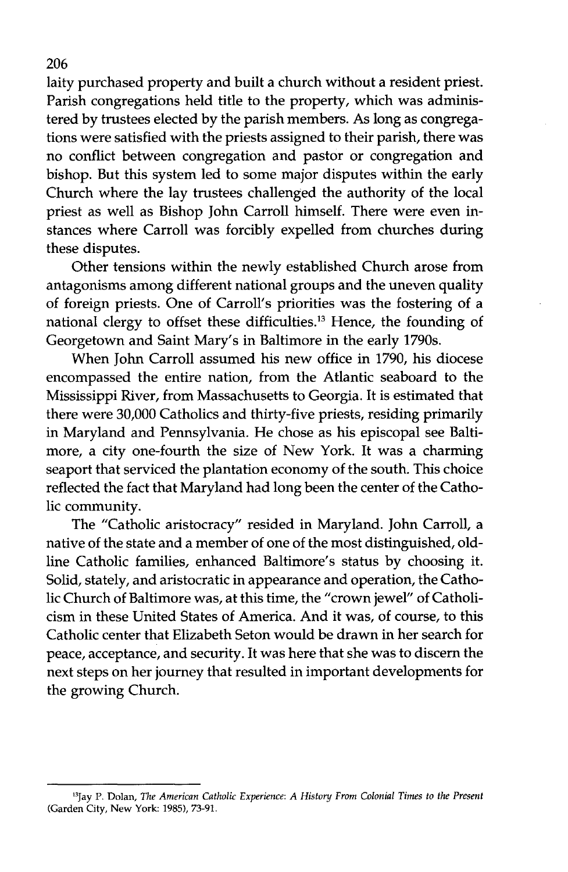laity purchased property and built a church without a resident priest. Parish congregations held title to the property, which was administered by trustees elected by the parish members. As long as congregations were satisfied with the priests assigned to their parish, there was no conflict between congregation and pastor or congregation and bishop. But this system led to some major disputes within the early Church where the lay trustees challenged the authority of the local priest as well as Bishop John Carroll himself. There were even instances where Carroll was forcibly expelled from churches during these disputes.

Other tensions within the newly established Church arose from antagonisms among different national groups and the uneven quality of foreign priests. One of Carroll's priorities was the fostering of a national clergy to offset these difficulties.<sup>13</sup> Hence, the founding of Georgetown and Saint Mary's in Baltimore in the early 1790s.

When John Carroll assumed his new office in 1790, his diocese encompassed the entire nation, from the Atlantic seaboard to the Mississippi River, from Massachusetts to Georgia. It is estimated that there were 30,000 Catholics and thirty-five priests, residing primarily in Maryland and Pennsylvania. He chose as his episcopal see Baltimore, a city one-fourth the size of New York. It was a charming seaport that serviced the plantation economy of the south. This choice reflected the fact that Maryland had long been the center of the Catholic community.

The "Catholic aristocracy" resided in Maryland. John Carroll, a native of the state and a member of one of the most distinguished, oldline Catholic families, enhanced Baltimore's status by choosing it. Solid, stately, and aristocratic in appearance and operation, the Catholic Church of Baltimore was, at this time, the "crown jewel" of Catholicism in these United States of America. And it was, of course, to this Catholic center that Elizabeth Seton would be drawn in her search for peace, acceptance, and security. It was here that she was to discern the next steps on her journey that resulted in important developments for the growing Church.

<sup>13</sup>Jay P. Dolan, *The American Catholic Experience: A History From Colonial Times* to *the Present* (Garden City, New York: 1985),73-91.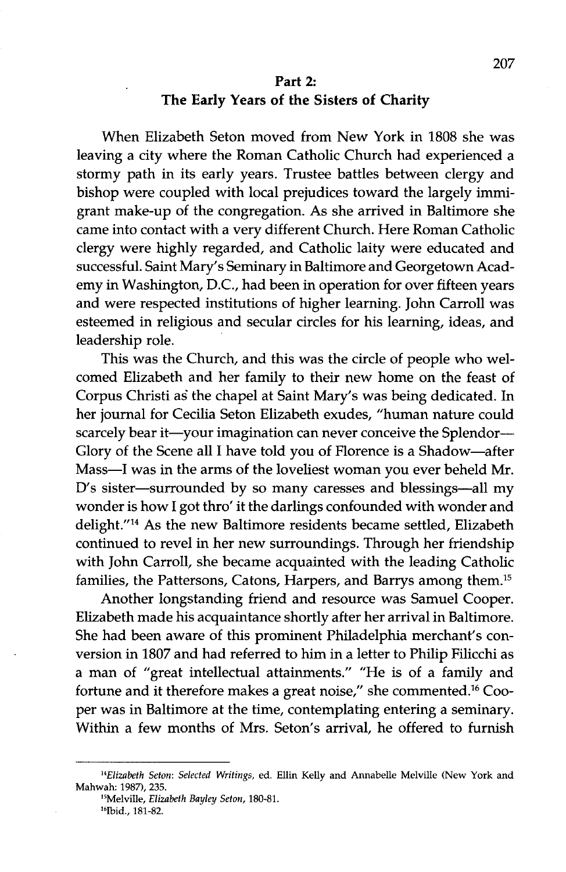## **Part 2: The Early Years of the Sisters of Charity**

When Elizabeth Seton moved from New York in 1808 she was leaving a city where the Roman Catholic Church had experienced a stormy path in its early years. Trustee battles between clergy and bishop were coupled with local prejudices toward the largely immigrant make-up of the congregation. As she arrived in Baltimore she came into contact with a very different Church. Here Roman Catholic clergy were highly regarded, and Catholic laity were educated and successful. Saint Mary's Seminary in Baltimore and Georgetown Academy in Washington, D.C., had been in operation for over fifteen years and were respected institutions of higher learning. John Carroll was esteemed in religious and secular circles for his learning, ideas, and leadership role.

This was the Church, and this was the circle of people who welcomed Elizabeth and her family to their new home on the feast of Corpus Christi as the chapel at Saint Mary's was being dedicated. In her journal for Cecilia Seton Elizabeth exudes, "human nature could scarcely bear it—your imagination can never conceive the Splendor--Glory of the Scene all I have told you of Florence is a Shadow-after Mass-I was in the arms of the loveliest woman you ever beheld Mr. D's sister-surrounded by so many caresses and blessings-all my wonder is how I got thro' it the darlings confounded with wonder and delight."14 As the new Baltimore residents became settled, Elizabeth continued to revel in her new surroundings. Through her friendship with John Carroll, she became acquainted with the leading Catholic families, the Pattersons, Catons, Harpers, and Barrys among them.15

Another longstanding friend and resource was Samuel Cooper. Elizabeth made his acquaintance shortly after her arrival in Baltimore. She had been aware of this prominent Philadelphia merchant's conversion in 1807 and had referred to him in a letter to Philip Filicchi as a man of "great intellectual attainments." "He is of a family and fortune and it therefore makes a great noise," she commented.16 Cooper was in Baltimore at the time, contemplating entering a seminary. Within a few months of Mrs. Seton's arrival, he offered to furnish

*<sup>&</sup>quot;Elizabeth Seton: Selected Writings,* ed. Ellin Kelly and Annabelle Melville (New York and Mahwah: 1987), 235.

<sup>15</sup>Melville, *Elizabeth Bayley Seton, 180-81.* 16Ibid., 181-82.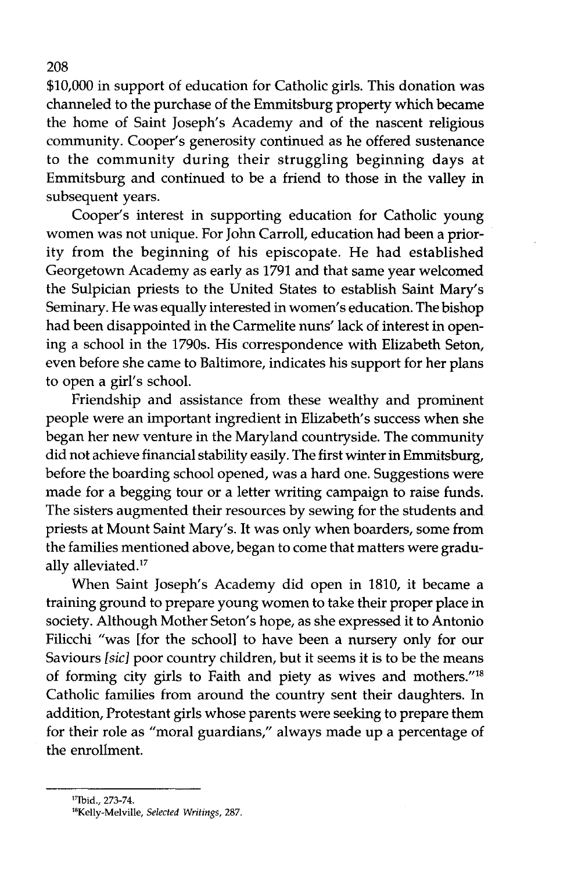\$10,000 in support of education for Catholic girls. This donation was channeled to the purchase of the Emmitsburg property which became the home of Saint Joseph's Academy and of the nascent religious community. Cooper's generosity continued as he offered sustenance to the community during their struggling beginning days at Emmitsburg and continued to be a friend to those in the valley in subsequent years.

Cooper's interest in supporting education for Catholic young women was not unique. For John Carroll, education had been a priority from the beginning of his episcopate. He had established Georgetown Academy as early as 1791 and that same year welcomed the Sulpician priests to the United States to establish Saint Mary's Seminary. He was equally interested in women's education. The bishop had been disappointed in the Carmelite nuns' lack of interest in opening a school in the 1790s. His correspondence with Elizabeth Seton, even before she came to Baltimore, indicates his support for her plans to open a girl's school.

Friendship and assistance from these wealthy and prominent people were an important ingredient in Elizabeth's success when she began her new venture in the Maryland countryside. The community did not achieve financial stability easily. The first winter in Emmitsburg, before the boarding school opened, was a hard one. Suggestions were made for a begging tour or a letter writing campaign to raise funds. The sisters augmented their resources by sewing for the students and priests at Mount Saint Mary'S. It was only when boarders, some from the families mentioned above, began to come that matters were gradually alleviated.<sup>17</sup>

When Saint Joseph's Academy did open in 1810, it became a training ground to prepare young women to take their proper place in society. Although Mother Seton's hope, as she expressed it to Antonio Filicchi "was [for the school] to have been a nursery only for our Saviours [sic] poor country children, but it seems it is to be the means of forming city girls to Faith and piety as wives and mothers."ls Catholic families from around the country sent their daughters. In addition, Protestant girls whose parents were seeking to prepare them for their role as "moral guardians," always made up a percentage of the enrollment.

<sup>&</sup>quot;Ibid., 273-74.

<sup>&</sup>quot;Kelly-Melville, *Selected Writings, 287.*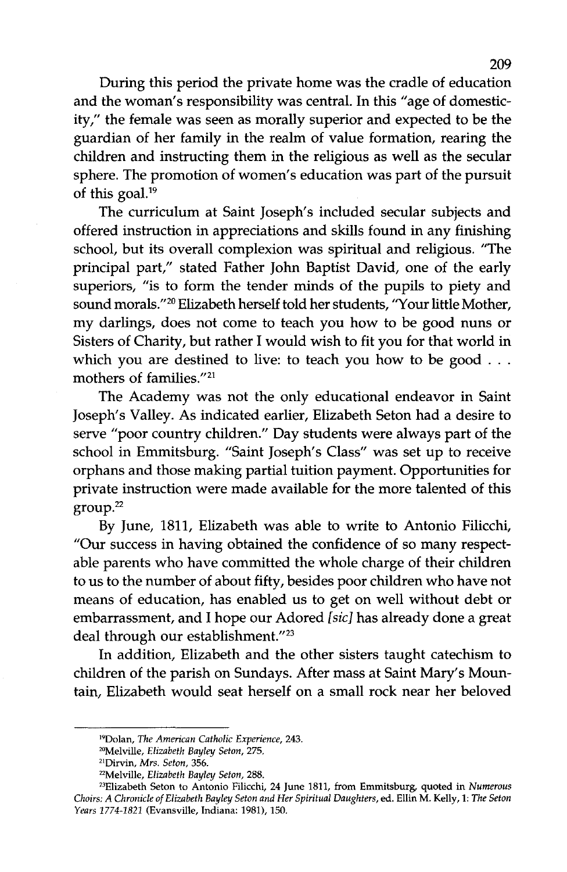During this period the private home was the cradle of education and the woman's responsibility was central. In this "age of domesticity," the female was seen as morally superior and expected to be the guardian of her family in the realm of value formation, rearing the children and instructing them in the religious as well as the secular sphere. The promotion of women's education was part of the pursuit of this goal.<sup>19</sup>

The curriculum at Saint Joseph's included secular subjects and offered instruction in appreciations and skills found in any finishing school, but its overall complexion was spiritual and religious. "The principal part," stated Father John Baptist David, one of the early superiors, "is to form the tender minds of the pupils to piety and sound morals."<sup>20</sup> Elizabeth herself told her students, "Your little Mother, my darlings, does not come to teach you how to be good nuns or Sisters of Charity, but rather I would wish to fit you for that world in which you are destined to live: to teach you how to be good . . . mothers of families."21

The Academy was not the only educational endeavor in Saint Joseph's Valley. As indicated earlier, Elizabeth Seton had a desire to serve "poor country children." Day students were always part of the school in Emmitsburg. "Saint Joseph's Class" was set up to receive orphans and those making partial tuition payment. Opportunities for private instruction were made available for the more talented of this group.22

By June, 1811, Elizabeth was able to write to Antonio Filicchi, "Our success in having obtained the confidence of so many respectable parents who have committed the whole charge of their children to us to the number of about fifty, besides poor children who have not means of education, has enabled us to get on well without debt or embarrassment, and I hope our Adored [sic] has already done a great deal through our establishment."23

In addition, Elizabeth and the other sisters taught catechism to children of the parish on Sundays. After mass at Saint Mary's Mountain, Elizabeth would seat herself on a small rock near her beloved

I'Dolan, *The American Catholic Experience, 243.*

<sup>2°</sup>Melville, *Elizabeth Bayley Seton, 275.*

<sup>21</sup>Dirvin, *Mrs. Seton, 356.*

<sup>&</sup>quot;Melville, *Elizabeth Bayley Seton, 288.*

<sup>&</sup>quot;Elizabeth Seton to Antonio Filicchi, 24 June 1811, from Emmitsburg, quoted in *Numerous Choirs: A Chronicle of Elizabeth Bayley Seton and Her Spiritual Daughters,* ed. Ellin M. Kelly, 1: *The Seton Years* 1774-1821 (Evansville, Indiana: 1981), 150.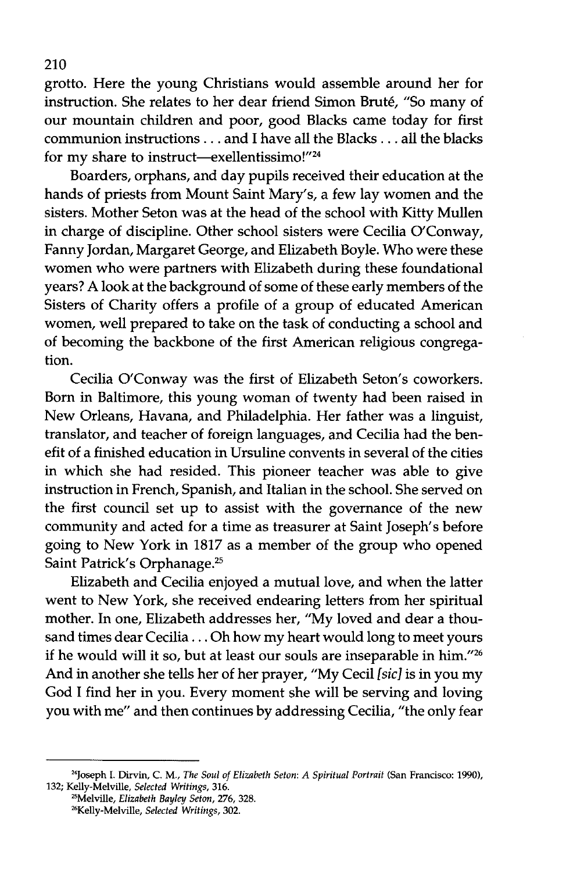grotto. Here the young Christians would assemble around her for instruction. She relates to her dear friend Simon Brute, "So many of our mountain children and poor, good Blacks came today for first communion instructions ... and I have all the Blacks ... all the blacks for my share to instruct-exellentissimo!"<sup>24</sup>

Boarders, orphans, and day pupils received their education at the hands of priests from Mount Saint Mary's, a few lay women and the sisters. Mother Seton was at the head of the school with Kitty Mullen in charge of discipline. Other school sisters were Cecilia O'Conway, Fanny Jordan, Margaret George, and Elizabeth Boyle. Who were these women who were partners with Elizabeth during these foundational years? A look at the background of some of these early members of the Sisters of Charity offers a profile of a group of educated American women, well prepared to take on the task of conducting a school and of becoming the backbone of the first American religious congregation.

Cecilia O'Conway was the first of Elizabeth Seton's coworkers. Born in Baltimore, this young woman of twenty had been raised in New Orleans, Havana, and Philadelphia. Her father was a linguist, translator, and teacher of foreign languages, and Cecilia had the benefit of a finished education in Ursuline convents in several of the cities in which she had resided. This pioneer teacher was able to give instruction in French, Spanish, and Italian in the school. She served on the first council set up to assist with the governance of the new community and acted for a time as treasurer at Saint Joseph's before going to New York in 1817 as a member of the group who opened Saint Patrick's Orphanage.25

Elizabeth and Cecilia enjoyed a mutual love, and when the latter went to New York, she received endearing letters from her spiritual mother. In one, Elizabeth addresses her, "My loved and dear a thousand times dear Cecilia ... Oh how my heart would long to meet yours if he would will it so, but at least our souls are inseparable in him."26 And in another she tells her of her prayer, "My Cecil *[sid* is in you my God I find her in you. Every moment she will be serving and loving you with me" and then continues by addressing Cecilia, "the only fear

<sup>&</sup>quot;Joseph 1. Dirvin, C. M., *The Soul of Elizabeth Seton: A Spiritual Portrait* (San Francisco: 1990), 132; Kelly-Melville, *Selected Writings, 316.*

<sup>&</sup>quot;Melville, *Elizabeth Bayley Seton,* 276, 328.

<sup>&</sup>quot;Kelly-Melville, *Selected Writings, 302.*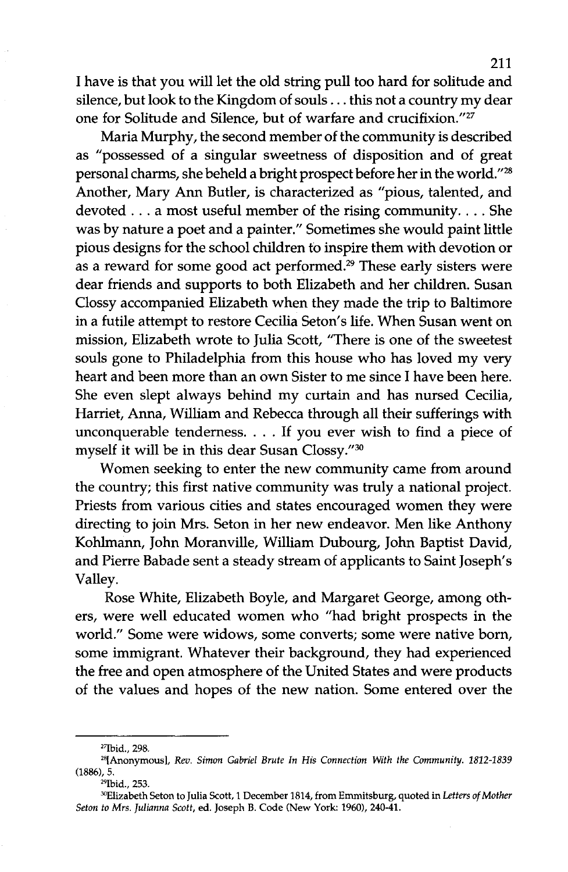I have is that you will let the old string pull too hard for solitude and silence, but look to the Kingdom of souls . . . this not a country my dear one for Solitude and Silence, but of warfare and crucifixion."27

Maria Murphy, the second member of the community is described as "possessed of a singular sweetness of disposition and of great personal charms, she beheld a bright prospect before herin the world."28 Another, Mary Ann Butler, is characterized as "pious, talented, and devoted ... <sup>a</sup> most useful member of the rising community.... She was by nature a poet and a painter." Sometimes she would paint little pious designs for the school children to inspire them with devotion or as a reward for some good act performed.<sup>29</sup> These early sisters were dear friends and supports to both Elizabeth and her children. Susan Clossy accompanied Elizabeth when they made the trip to Baltimore in a futile attempt to restore Cecilia Seton's life. When Susan went on mission, Elizabeth wrote to Julia Scott, "There is one of the sweetest souls gone to Philadelphia from this house who has loved my very heart and been more than an own Sister to me since I have been here. She even slept always behind my curtain and has nursed Cecilia, Harriet, Anna, William and Rebecca through all their sufferings with unconquerable tenderness. . . . If you ever wish to find a piece of myself it will be in this dear Susan Clossy."30

Women seeking to enter the new community came from around the country; this first native community was truly a national project. Priests from various cities and states encouraged women they were directing to join Mrs. Seton in her new endeavor. Men like Anthony Kohlmann, John Moranville, William Dubourg, John Baptist David, and Pierre Babade sent a steady stream of applicants to Saint Joseph's Valley.

Rose White, Elizabeth Boyle, and Margaret George, among others, were well educated women who "had bright prospects in the world." Some were widows, some converts; some were native born, some immigrant. Whatever their background, they had experienced the free and open atmosphere of the United States and were products of the values and hopes of the new nation. Some entered over the

<sup>&#</sup>x27;'Ibid., 298.

<sup>&</sup>quot;[Anonymous), *Rev. Simon Gabriel Brute In His Connection With the Community. 1812-1839* (1886),5.

<sup>&</sup>lt;sup>29</sup>Ibid., 253.

<sup>&</sup>lt;sup>30</sup>Elizabeth Seton to Julia Scott, 1 December 1814, from Emmitsburg, quoted in Letters of Mother *Seton to Mrs. Julianna Scott,* ed. Joseph B. Code (New York: 1960),240-41.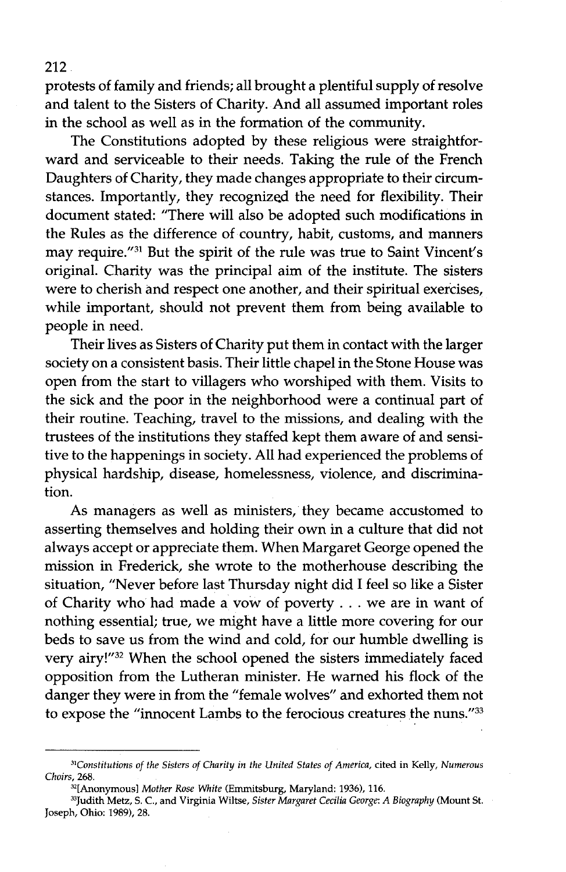protests of family and friends; all brought a plentiful supply of resolve and talent to the Sisters of Charity. And all assumed important roles in the school as well as in the formation of the community.

The Constitutions adopted by these religious were straightforward and serviceable to their needs. Taking the rule of the French Daughters of Charity, they made changes appropriate to their circumstances. Importantly, they recognized the need for flexibility. Their document stated: "There will also be adopted such modifications in the Rules as the difference of country, habit, customs, and manners may require."31 But the spirit of the rule was true to Saint Vincent's original. Charity was the principal aim of the institute. The sisters were to cherish and respect one another, and their spiritual exercises, while important, should not prevent them from being available to people in need.

Their lives as Sisters of Charity put them in contact with the larger society on a consistent basis. Their little chapel in the Stone House was open from the start to villagers who worshiped with them. Visits to the sick and the poor in the neighborhood were a continual part of their routine. Teaching, travel to the missions, and dealing with the trustees of the institutions they staffed kept them aware of and sensitive to the happenings in society. All had experienced the problems of physical hardship, disease, homelessness, violence, and discrimination.

As managers as well as ministers, they became accustomed to asserting themselves and holding their own in a culture that did not always accept or appreciate them. When Margaret George opened the mission in Frederick, she wrote to the motherhouse describing the situation, "Never before last Thursday night did I feel so like a Sister of Charity who had made a vow of poverty . . . we are in want of nothing essential; true, we might have a little more covering for our beds to save us from the wind and cold, for our humble dwelling is very airy!"32 When the school opened the sisters immediately faced opposition from the Lutheran minister. He warned his flock of the danger they were in from the "female wolves" and exhorted them not to expose the "innocent Lambs to the ferocious creatures the nuns."33

*<sup>31</sup>Constitutions of the Sisters of Charity in the United States of America,* cited in Kelly, *Numerous Choirs, 268.*

<sup>32[</sup>Anonymous] *Mother Rose White* (Emmitsburg, Maryland: 1936), 116.

<sup>33</sup>Judith Metz, S. C, and Virginia Wiltse, *Sister Margaret Cecilia George: A Biography* (Mount St. Joseph, Ohio: 1989), 28.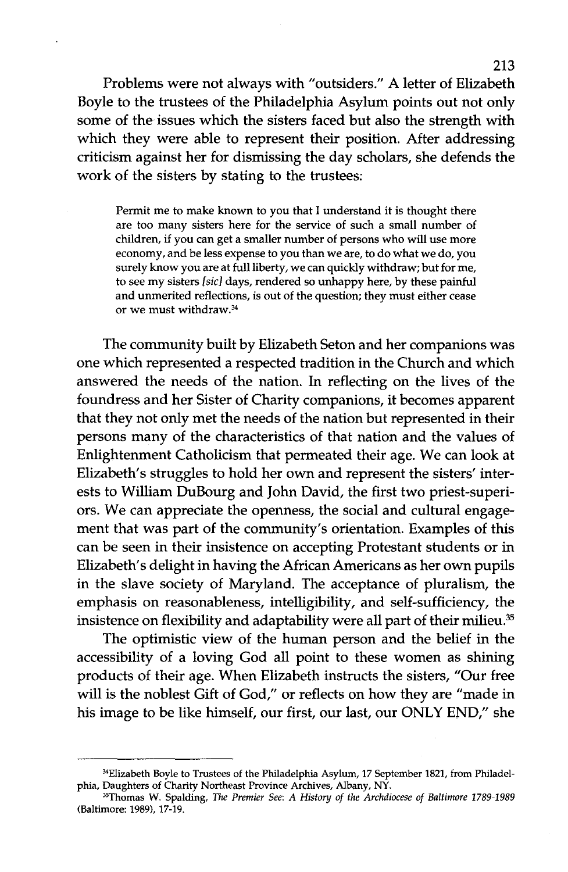Problems were not always with "outsiders." A letter of Elizabeth Boyle to the trustees of the Philadelphia Asylum points out not only some of the issues which the sisters faced but also the strength with which they were able to represent their position. After addressing criticism against her for dismissing the day scholars, she defends the work of the sisters by stating to the trustees:

Permit me to make known to you that I understand it is thought there are too many sisters here for the service of such a small number of children, if you can get a smaller number of persons who will use more economy, and be less expense to you than we are, to do what we do, you surely know you are at full liberty, we can quickly withdraw; but for me, to see my sisters [sic] days, rendered so unhappy here, by these painful and unmerited reflections, is out of the question; they must either cease or we must withdraw.34

The community built by Elizabeth Seton and her companions was one which represented a respected tradition in the Church and which answered the needs of the nation. In reflecting on the lives of the foundress and her Sister of Charity companions, it becomes apparent that they not only met the needs of the nation but represented in their persons many of the characteristics of that nation and the values of Enlightenment Catholicism that permeated their age. We can look at Elizabeth's struggles to hold her own and represent the sisters' interests to William DuBourg and John David, the first two priest-superiors. We can appreciate the openness, the social and cultural engagement that was part of the community's orientation. Examples of this can be seen in their insistence on accepting Protestant students or in Elizabeth's delight in having the African Americans as her own pupils in the slave society of Maryland. The acceptance of pluralism, the emphasis on reasonableness, intelligibility, and self-sufficiency, the insistence on flexibility and adaptability were all part of their milieu.<sup>35</sup>

The optimistic view of the human person and the belief in the accessibility of a loving God all point to these women as shining products of their age. When Elizabeth instructs the sisters, "Our free will is the noblest Gift of God," or reflects on how they are "made in his image to be like himself, our first, our last, our ONLY END," she

<sup>&</sup>lt;sup>34</sup>Elizabeth Boyle to Trustees of the Philadelphia Asylum, 17 September 1821, from Philadelphia, Daughters of Charity Northeast Province Archives, Albany, NY.

<sup>35</sup>Thomas W. Spalding, *The Premier See: A History of the Archdiocese of Baltimore 1789-1989* (Baltimore: 1989), 17-19.